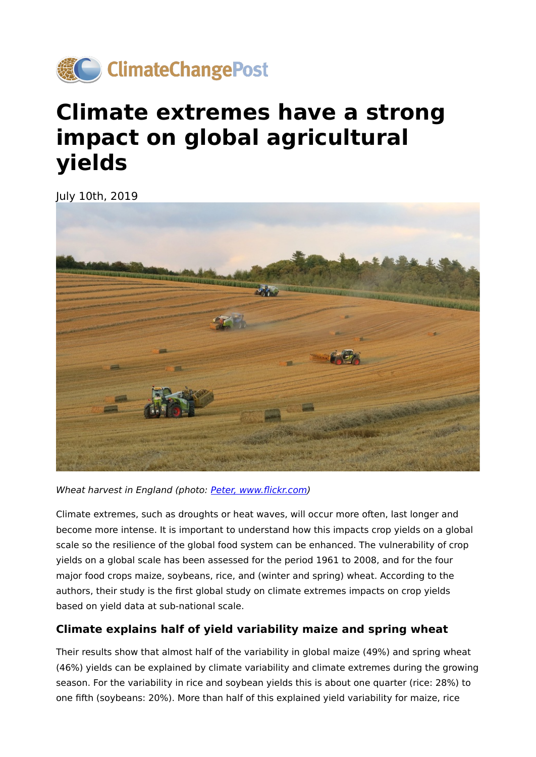

## **Climate extremes have a strong impact on global agricultural yields**

July 10th, 2019



Wheat harvest in England (photo: [Peter, www.](https://www.flickr.com/photos/peter_curb/14967139872/in/photolist-oNAveJ-fmtwtz-8xknD2-2a5UxUt-6K7jMx-g93a4J-mCuGy7-ahaqkE-23uwCC6-wyXVSx-24RHCDi-F9JwGe-6bPs36-23uzjfP-KqSBqU-24RmbhT-28ggi2A-23LSyAS-23uzsjV-GEKCqE-G3XVxf-cWE6cy-f52noa-mGyfT-hqg5hb-HfKLDq-26VrtQj-CzJNJP-gnUUN9-26Vrtzu-eD1iZa-fvg7Et-hbxcKj-aa23Hz-onzrt6-bCvm6a-oFAke6-7efDgp-bim72M-6BNkbN-fLuxJJ-acDs1z-hd1hkP-3dKA2T-oGjn56-6U9qpm-oM9j9A-9Gvvi4-hbx2kk-bT239F/)flickr.com)

Climate extremes, such as droughts or heat waves, will occur more often, last longer and become more intense. It is important to understand how this impacts crop yields on a global scale so the resilience of the global food system can be enhanced. The vulnerability of crop yields on a global scale has been assessed for the period 1961 to 2008, and for the four major food crops maize, soybeans, rice, and (winter and spring) wheat. According to the authors, their study is the first global study on climate extremes impacts on crop yields based on yield data at sub-national scale.

## **Climate explains half of yield variability maize and spring wheat**

Their results show that almost half of the variability in global maize (49%) and spring wheat (46%) yields can be explained by climate variability and climate extremes during the growing season. For the variability in rice and soybean yields this is about one quarter (rice: 28%) to one fifth (soybeans: 20%). More than half of this explained yield variability for maize, rice